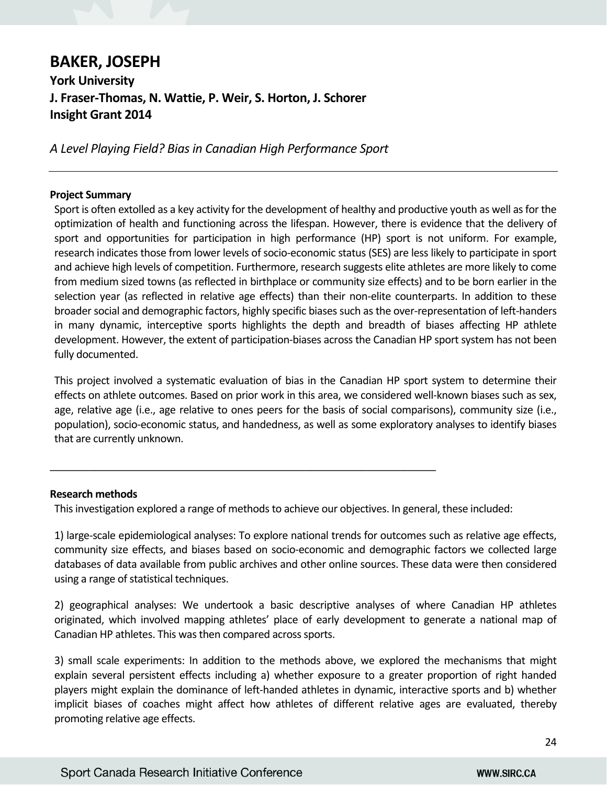# **BAKER, JOSEPH York University J. Fraser‐Thomas, N. Wattie, P. Weir, S. Horton, J. Schorer Insight Grant 2014**

*A Level Playing Field? Bias in Canadian High Performance Sport* 

## **Project Summary**

Sport is often extolled as a key activity for the development of healthy and productive youth as well as for the optimization of health and functioning across the lifespan. However, there is evidence that the delivery of sport and opportunities for participation in high performance (HP) sport is not uniform. For example, research indicates those from lower levels of socio‐economic status (SES) are less likely to participate in sport and achieve high levels of competition. Furthermore, research suggests elite athletes are more likely to come from medium sized towns (as reflected in birthplace or community size effects) and to be born earlier in the selection year (as reflected in relative age effects) than their non-elite counterparts. In addition to these broader social and demographic factors, highly specific biases such as the over‐representation of left‐handers in many dynamic, interceptive sports highlights the depth and breadth of biases affecting HP athlete development. However, the extent of participation‐biases across the Canadian HP sport system has not been fully documented.

This project involved a systematic evaluation of bias in the Canadian HP sport system to determine their effects on athlete outcomes. Based on prior work in this area, we considered well‐known biases such as sex, age, relative age (i.e., age relative to ones peers for the basis of social comparisons), community size (i.e., population), socio‐economic status, and handedness, as well as some exploratory analyses to identify biases that are currently unknown.

## **Research methods**

This investigation explored a range of methods to achieve our objectives. In general, these included:

\_\_\_\_\_\_\_\_\_\_\_\_\_\_\_\_\_\_\_\_\_\_\_\_\_\_\_\_\_\_\_\_\_\_\_\_\_\_\_\_\_\_\_\_\_\_\_\_\_\_\_\_\_\_\_\_\_\_\_\_\_\_\_\_\_\_\_\_

1) large‐scale epidemiological analyses: To explore national trends for outcomes such as relative age effects, community size effects, and biases based on socio‐economic and demographic factors we collected large databases of data available from public archives and other online sources. These data were then considered using a range of statistical techniques.

2) geographical analyses: We undertook a basic descriptive analyses of where Canadian HP athletes originated, which involved mapping athletes' place of early development to generate a national map of Canadian HP athletes. This was then compared across sports.

3) small scale experiments: In addition to the methods above, we explored the mechanisms that might explain several persistent effects including a) whether exposure to a greater proportion of right handed players might explain the dominance of left-handed athletes in dynamic, interactive sports and b) whether implicit biases of coaches might affect how athletes of different relative ages are evaluated, thereby promoting relative age effects.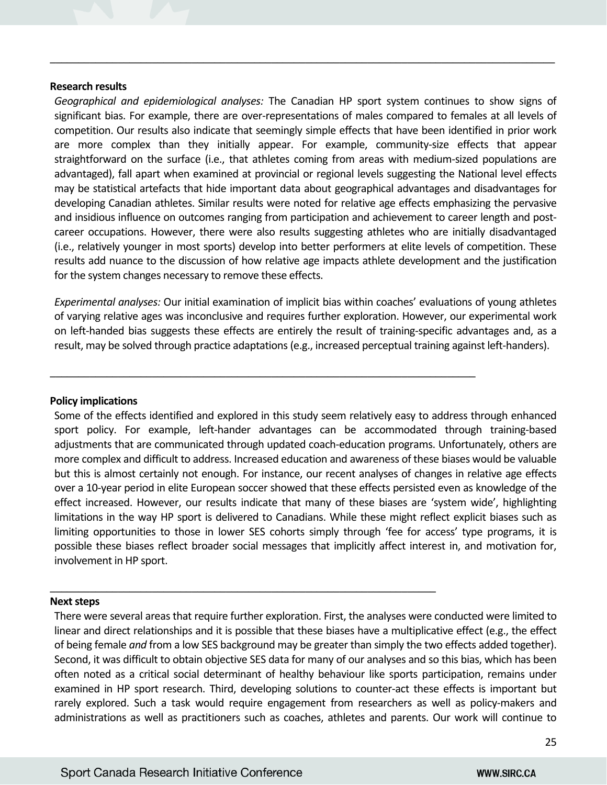#### **Research results**

*Geographical and epidemiological analyses:*  The Canadian HP sport system continues to show signs of significant bias. For example, there are over-representations of males compared to females at all levels of competition. Our results also indicate that seemingly simple effects that have been identified in prior work are more complex than they initially appear. For example, community‐size effects that appear straightforward on the surface (i.e., that athletes coming from areas with medium‐sized populations are advantaged), fall apart when examined at provincial or regional levels suggesting the National level effects may be statistical artefacts that hide important data about geographical advantages and disadvantages for developing Canadian athletes. Similar results were noted for relative age effects emphasizing the pervasive and insidious influence on outcomes ranging from participation and achievement to career length and postcareer occupations. However, there were also results suggesting athletes who are initially disadvantaged (i.e., relatively younger in most sports) develop into better performers at elite levels of competition. These results add nuance to the discussion of how relative age impacts athlete development and the justification for the system changes necessary to remove these effects.

\_\_\_\_\_\_\_\_\_\_\_\_\_\_\_\_\_\_\_\_\_\_\_\_\_\_\_\_\_\_\_\_\_\_\_\_\_\_\_\_\_\_\_\_\_\_\_\_\_\_\_\_\_\_\_\_\_\_\_\_\_\_\_\_\_\_\_\_\_\_\_\_\_\_\_\_\_\_\_\_\_\_\_\_\_\_\_\_\_

*Experimental analyses:* Our initial examination of implicit bias within coaches' evaluations of young athletes of varying relative ages was inconclusive and requires further exploration. However, our experimental work on left-handed bias suggests these effects are entirely the result of training-specific advantages and, as a result, may be solved through practice adaptations (e.g., increased perceptual training against left‐handers).

\_\_\_\_\_\_\_\_\_\_\_\_\_\_\_\_\_\_\_\_\_\_\_\_\_\_\_\_\_\_\_\_\_\_\_\_\_\_\_\_\_\_\_\_\_\_\_\_\_\_\_\_\_\_\_\_\_\_\_\_\_\_\_\_\_\_\_\_\_\_\_\_\_\_\_

\_\_\_\_\_\_\_\_\_\_\_\_\_\_\_\_\_\_\_\_\_\_\_\_\_\_\_\_\_\_\_\_\_\_\_\_\_\_\_\_\_\_\_\_\_\_\_\_\_\_\_\_\_\_\_\_\_\_\_\_\_\_\_\_\_\_\_\_

## **Policy implications**

Some of the effects identified and explored in this study seem relatively easy to address through enhanced sport policy. For example, left-hander advantages can be accommodated through training-based adjustments that are communicated through updated coach‐education programs. Unfortunately, others are more complex and difficult to address. Increased education and awareness of these biases would be valuable but this is almost certainly not enough. For instance, our recent analyses of changes in relative age effects over a 10‐year period in elite European soccer showed that these effects persisted even as knowledge of the effect increased. However, our results indicate that many of these biases are 'system wide', highlighting limitations in the way HP sport is delivered to Canadians. While these might reflect explicit biases such as limiting opportunities to those in lower SES cohorts simply through 'fee for access' type programs, it is possible these biases reflect broader social messages that implicitly affect interest in, and motivation for, involvement in HP sport.

#### **Next steps**

There were several areas that require further exploration. First, the analyses were conducted were limited to linear and direct relationships and it is possible that these biases have a multiplicative effect (e.g., the effect of being female *and* from a low SES background may be greater than simply the two effects added together). Second, it was difficult to obtain objective SES data for many of our analyses and so this bias, which has been often noted as a critical social determinant of healthy behaviour like sports participation, remains under examined in HP sport research. Third, developing solutions to counter-act these effects is important but rarely explored. Such a task would require engagement from researchers as well as policy-makers and administrations as well as practitioners such as coaches, athletes and parents. Our work will continue to